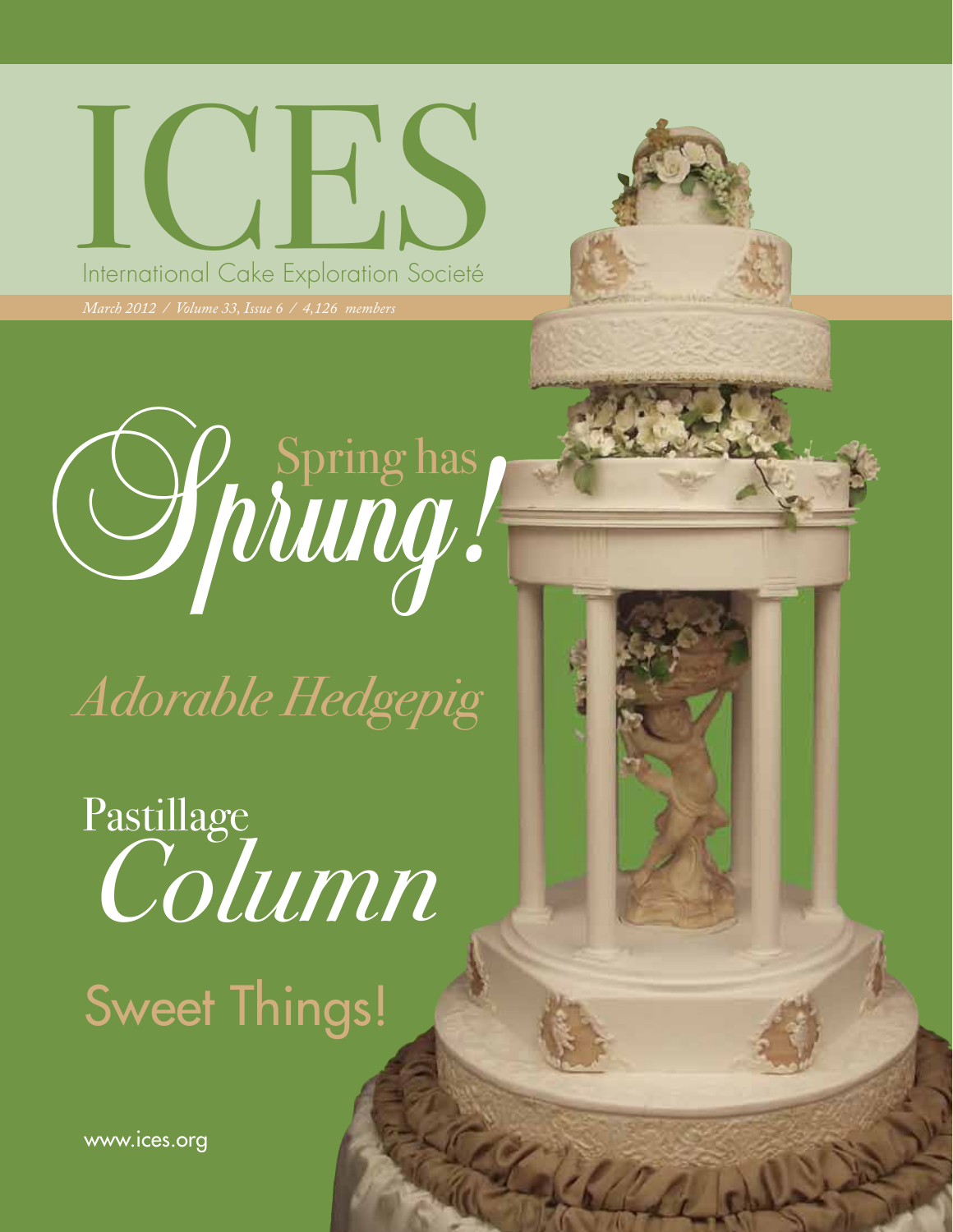## ICES IN TRESPONDING DE LA SURFACE Exploration Societé



*Adorable Hedgepig*

Pastillage *Column* Sweet Things!

March 2012 / ICES Newsletter

www.ices.org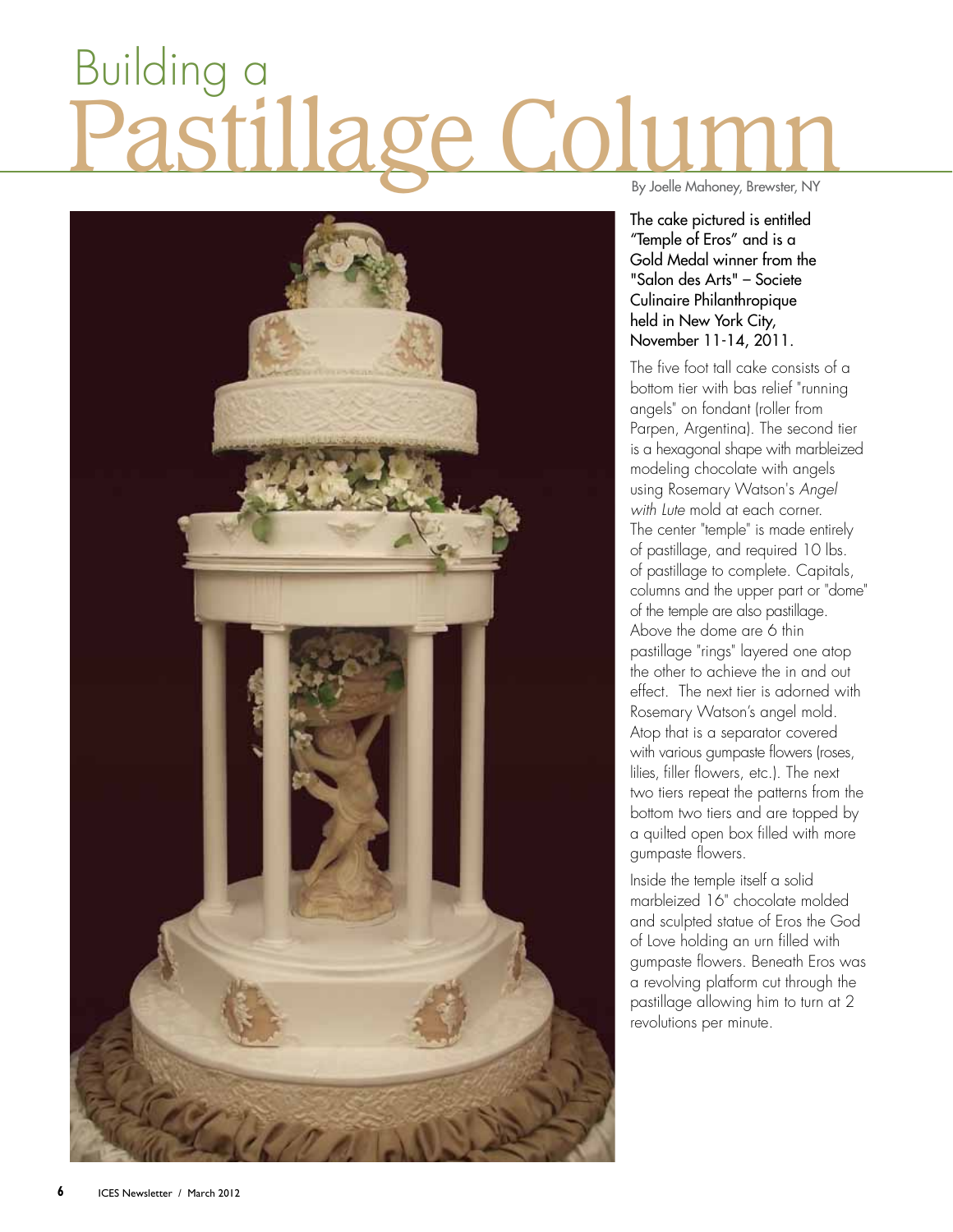## age Co Building a



By Joelle Mahoney, Brewster, NY

The cake pictured is entitled "Temple of Eros" and is a Gold Medal winner from the "Salon des Arts" – Societe Culinaire Philanthropique held in New York City, November 11-14, 2011.

The five foot tall cake consists of a bottom tier with bas relief "running angels" on fondant (roller from Parpen, Argentina). The second tier is a hexagonal shape with marbleized modeling chocolate with angels using Rosemary Watson's *Angel with Lute* mold at each corner. The center "temple" is made entirely of pastillage, and required 10 lbs. of pastillage to complete. Capitals, columns and the upper part or "dome" of the temple are also pastillage. Above the dome are 6 thin pastillage "rings" layered one atop the other to achieve the in and out effect. The next tier is adorned with Rosemary Watson's angel mold. Atop that is a separator covered with various gumpaste flowers (roses, lilies, filler flowers, etc.). The next two tiers repeat the patterns from the bottom two tiers and are topped by a quilted open box filled with more gumpaste flowers.

Inside the temple itself a solid marbleized 16" chocolate molded and sculpted statue of Eros the God of Love holding an urn filled with gumpaste flowers. Beneath Eros was a revolving platform cut through the pastillage allowing him to turn at 2 revolutions per minute.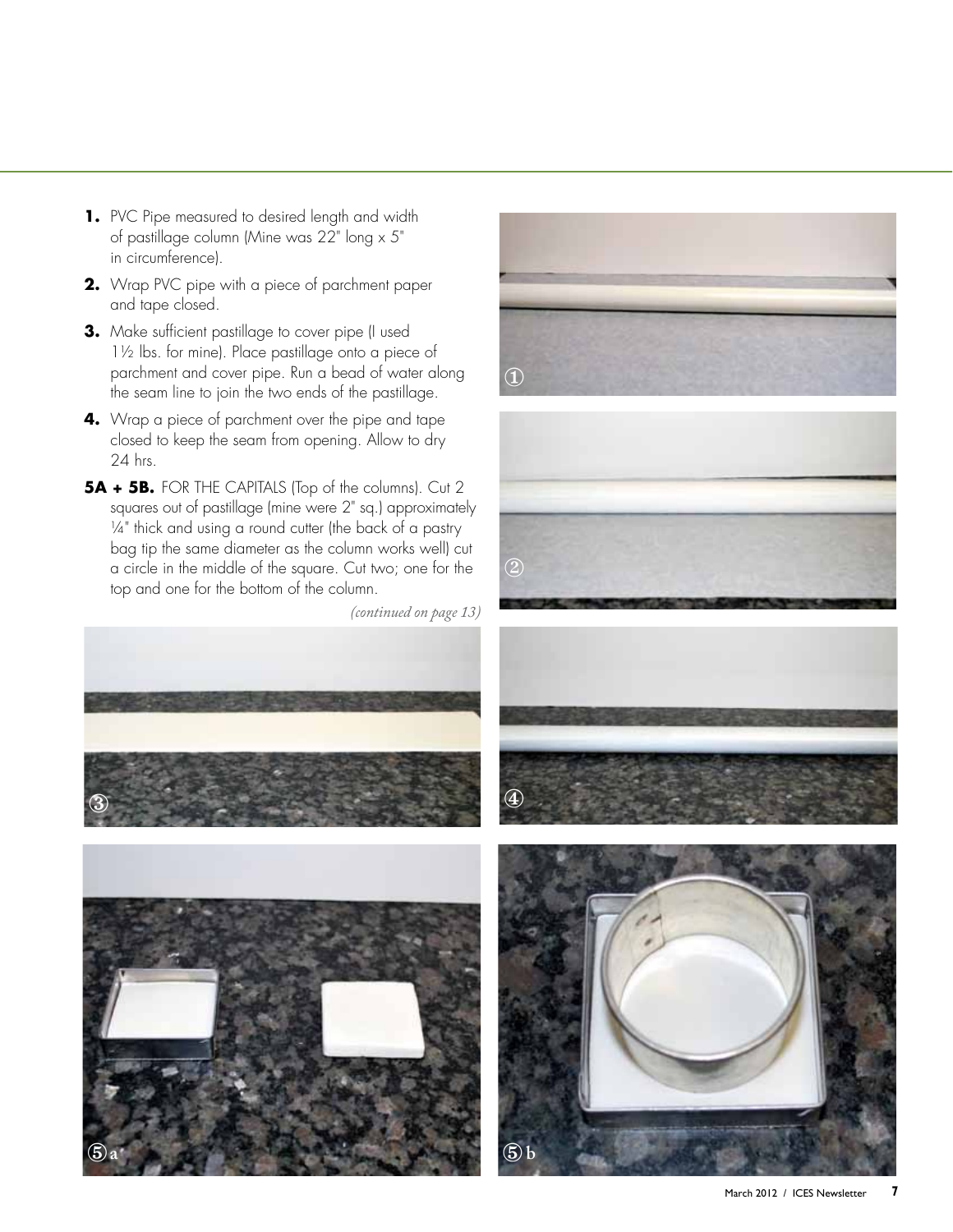- **1.** PVC Pipe measured to desired length and width of pastillage column (Mine was 22" long x 5" in circumference).
- **2.** Wrap PVC pipe with a piece of parchment paper and tape closed.
- **3.** Make sufficient pastillage to cover pipe (I used 1½ lbs. for mine). Place pastillage onto a piece of parchment and cover pipe. Run a bead of water along the seam line to join the two ends of the pastillage.
- **4.** Wrap a piece of parchment over the pipe and tape closed to keep the seam from opening. Allow to dry 24 hrs.
- **5A + 5B.** FOR THE CAPITALS (Top of the columns). Cut 2 squares out of pastillage (mine were 2" sq.) approximately 1/4" thick and using a round cutter (the back of a pastry bag tip the same diameter as the column works well) cut a circle in the middle of the square. Cut two; one for the top and one for the bottom of the column.

*(continued on page 13)*